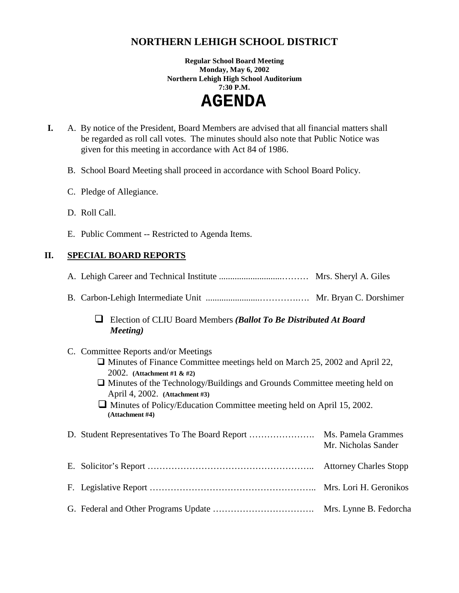# **NORTHERN LEHIGH SCHOOL DISTRICT**

**Regular School Board Meeting Monday, May 6, 2002 Northern Lehigh High School Auditorium 7:30 P.M.** 

 **AGENDA** 

- **I.** A. By notice of the President, Board Members are advised that all financial matters shall be regarded as roll call votes. The minutes should also note that Public Notice was given for this meeting in accordance with Act 84 of 1986.
	- B. School Board Meeting shall proceed in accordance with School Board Policy.
	- C. Pledge of Allegiance.
	- D. Roll Call.
	- E. Public Comment -- Restricted to Agenda Items.

# **II. SPECIAL BOARD REPORTS**

A. Lehigh Career and Technical Institute ............................……… Mrs. Sheryl A. Giles

- B. Carbon-Lehigh Intermediate Unit ........................………….…. Mr. Bryan C. Dorshimer
	- ! Election of CLIU Board Members *(Ballot To Be Distributed At Board Meeting)*

### C. Committee Reports and/or Meetings

- $\Box$  Minutes of Finance Committee meetings held on March 25, 2002 and April 22, 2002. **(Attachment #1 & #2)**
- $\Box$  Minutes of the Technology/Buildings and Grounds Committee meeting held on April 4, 2002. **(Attachment #3)**

 $\Box$  Minutes of Policy/Education Committee meeting held on April 15, 2002. **(Attachment #4)**

|  | Mr. Nicholas Sander |
|--|---------------------|
|  |                     |
|  |                     |
|  |                     |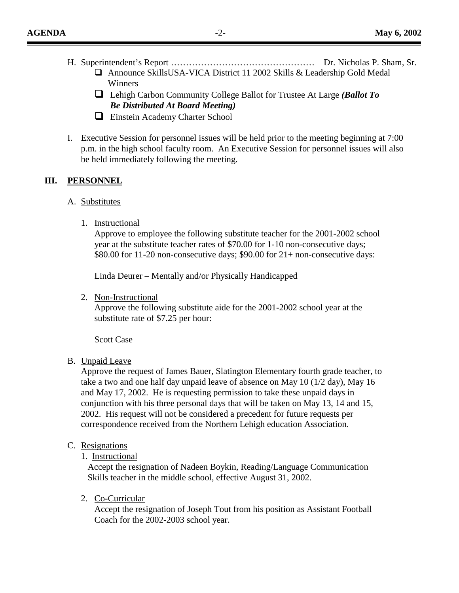- H. Superintendent's Report ………………………………………… Dr. Nicholas P. Sham, Sr. ! Announce SkillsUSA-VICA District 11 2002 Skills & Leadership Gold Medal
	- Winners ! Lehigh Carbon Community College Ballot for Trustee At Large *(Ballot To Be Distributed At Board Meeting)*
	- **Einstein Academy Charter School**
- I. Executive Session for personnel issues will be held prior to the meeting beginning at 7:00 p.m. in the high school faculty room. An Executive Session for personnel issues will also be held immediately following the meeting.

# **III. PERSONNEL**

- A. Substitutes
	- 1. Instructional

Approve to employee the following substitute teacher for the 2001-2002 school year at the substitute teacher rates of \$70.00 for 1-10 non-consecutive days; \$80.00 for 11-20 non-consecutive days; \$90.00 for 21+ non-consecutive days:

Linda Deurer – Mentally and/or Physically Handicapped

2. Non-Instructional

Approve the following substitute aide for the 2001-2002 school year at the substitute rate of \$7.25 per hour:

Scott Case

# B. Unpaid Leave

Approve the request of James Bauer, Slatington Elementary fourth grade teacher, to take a two and one half day unpaid leave of absence on May 10 (1/2 day), May 16 and May 17, 2002. He is requesting permission to take these unpaid days in conjunction with his three personal days that will be taken on May 13, 14 and 15, 2002. His request will not be considered a precedent for future requests per correspondence received from the Northern Lehigh education Association.

# C. Resignations

1. Instructional

Accept the resignation of Nadeen Boykin, Reading/Language Communication Skills teacher in the middle school, effective August 31, 2002.

2. Co-Curricular

Accept the resignation of Joseph Tout from his position as Assistant Football Coach for the 2002-2003 school year.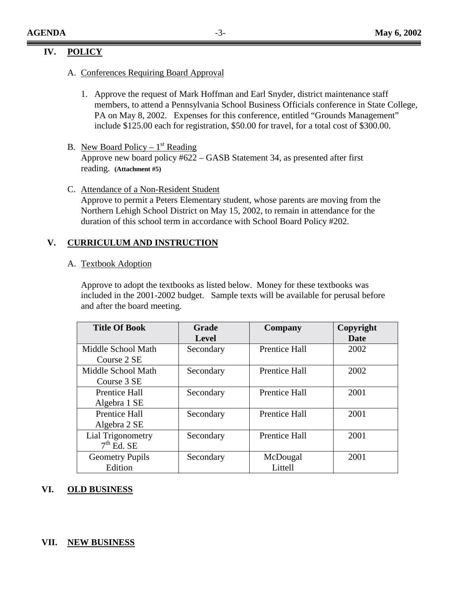### **IV. POLICY**

- A. Conferences Requiring Board Approval
	- 1. Approve the request of Mark Hoffman and Earl Snyder, district maintenance staff members, to attend a Pennsylvania School Business Officials conference in State College, PA on May 8, 2002. Expenses for this conference, entitled "Grounds Management" include \$125.00 each for registration, \$50.00 for travel, for a total cost of \$300.00.
- B. New Board Policy  $1<sup>st</sup>$  Reading Approve new board policy #622 – GASB Statement 34, as presented after first reading. **(Attachment #5)**
- C. Attendance of a Non-Resident Student

Approve to permit a Peters Elementary student, whose parents are moving from the Northern Lehigh School District on May 15, 2002, to remain in attendance for the duration of this school term in accordance with School Board Policy #202.

#### **V. CURRICULUM AND INSTRUCTION**

#### A. Textbook Adoption

Approve to adopt the textbooks as listed below. Money for these textbooks was included in the 2001-2002 budget. Sample texts will be available for perusal before and after the board meeting.

| <b>Title Of Book</b>   | Grade        | Company              | Copyright |
|------------------------|--------------|----------------------|-----------|
|                        | <b>Level</b> |                      | Date      |
| Middle School Math     | Secondary    | <b>Prentice Hall</b> | 2002      |
| Course 2 SE            |              |                      |           |
| Middle School Math     | Secondary    | <b>Prentice Hall</b> | 2002      |
| Course 3 SE            |              |                      |           |
| <b>Prentice Hall</b>   | Secondary    | <b>Prentice Hall</b> | 2001      |
| Algebra 1 SE           |              |                      |           |
| Prentice Hall          | Secondary    | <b>Prentice Hall</b> | 2001      |
| Algebra 2 SE           |              |                      |           |
| Lial Trigonometry      | Secondary    | <b>Prentice Hall</b> | 2001      |
| $7th$ Ed. SE           |              |                      |           |
| <b>Geometry Pupils</b> | Secondary    | McDougal             | 2001      |
| Edition                |              | Littell              |           |

#### **VI. OLD BUSINESS**

#### **VII. NEW BUSINESS**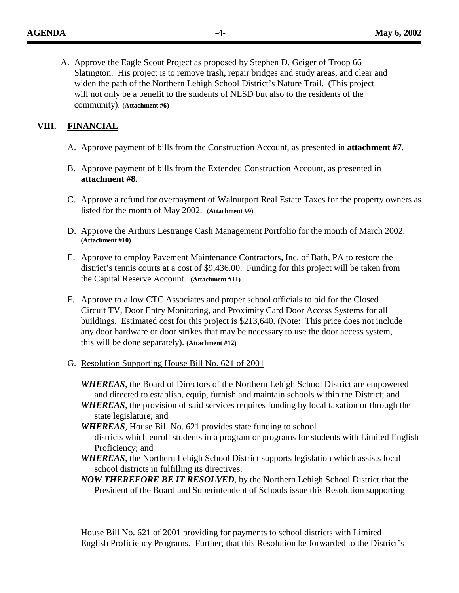A. Approve the Eagle Scout Project as proposed by Stephen D. Geiger of Troop 66 Slatington. His project is to remove trash, repair bridges and study areas, and clear and widen the path of the Northern Lehigh School District's Nature Trail. (This project will not only be a benefit to the students of NLSD but also to the residents of the community). **(Attachment #6)**

### **VIII. FINANCIAL**

- A. Approve payment of bills from the Construction Account, as presented in **attachment #7**.
- B. Approve payment of bills from the Extended Construction Account, as presented in **attachment #8.**
- C. Approve a refund for overpayment of Walnutport Real Estate Taxes for the property owners as listed for the month of May 2002. **(Attachment #9)**
- D. Approve the Arthurs Lestrange Cash Management Portfolio for the month of March 2002. **(Attachment #10)**
- E. Approve to employ Pavement Maintenance Contractors, Inc. of Bath, PA to restore the district's tennis courts at a cost of \$9,436.00. Funding for this project will be taken from the Capital Reserve Account. **(Attachment #11)**
- F. Approve to allow CTC Associates and proper school officials to bid for the Closed Circuit TV, Door Entry Monitoring, and Proximity Card Door Access Systems for all buildings. Estimated cost for this project is \$213,640. (Note: This price does not include any door hardware or door strikes that may be necessary to use the door access system, this will be done separately). **(Attachment #12)**
- G. Resolution Supporting House Bill No. 621 of 2001
	- *WHEREAS*, the Board of Directors of the Northern Lehigh School District are empowered and directed to establish, equip, furnish and maintain schools within the District; and
	- *WHEREAS*, the provision of said services requires funding by local taxation or through the state legislature; and
	- *WHEREAS*, House Bill No. 621 provides state funding to school districts which enroll students in a program or programs for students with Limited English Proficiency; and
	- *WHEREAS*, the Northern Lehigh School District supports legislation which assists local school districts in fulfilling its directives.
	- *NOW THEREFORE BE IT RESOLVED*, by the Northern Lehigh School District that the President of the Board and Superintendent of Schools issue this Resolution supporting

 House Bill No. 621 of 2001 providing for payments to school districts with Limited English Proficiency Programs. Further, that this Resolution be forwarded to the District's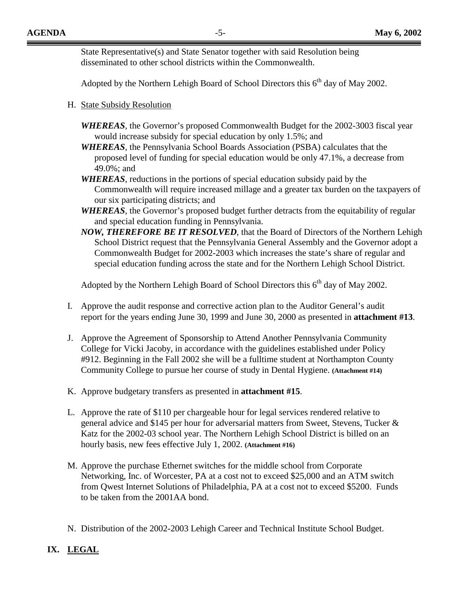State Representative(s) and State Senator together with said Resolution being disseminated to other school districts within the Commonwealth.

Adopted by the Northern Lehigh Board of School Directors this  $6<sup>th</sup>$  day of May 2002.

- H. State Subsidy Resolution
	- *WHEREAS*, the Governor's proposed Commonwealth Budget for the 2002-3003 fiscal year would increase subsidy for special education by only 1.5%; and
	- *WHEREAS*, the Pennsylvania School Boards Association (PSBA) calculates that the proposed level of funding for special education would be only 47.1%, a decrease from 49.0%; and
	- *WHEREAS*, reductions in the portions of special education subsidy paid by the Commonwealth will require increased millage and a greater tax burden on the taxpayers of our six participating districts; and
	- *WHEREAS*, the Governor's proposed budget further detracts from the equitability of regular and special education funding in Pennsylvania.
	- *NOW, THEREFORE BE IT RESOLVED*, that the Board of Directors of the Northern Lehigh School District request that the Pennsylvania General Assembly and the Governor adopt a Commonwealth Budget for 2002-2003 which increases the state's share of regular and special education funding across the state and for the Northern Lehigh School District.

Adopted by the Northern Lehigh Board of School Directors this  $6<sup>th</sup>$  day of May 2002.

- I. Approve the audit response and corrective action plan to the Auditor General's audit report for the years ending June 30, 1999 and June 30, 2000 as presented in **attachment #13**.
- J. Approve the Agreement of Sponsorship to Attend Another Pennsylvania Community College for Vicki Jacoby, in accordance with the guidelines established under Policy #912. Beginning in the Fall 2002 she will be a fulltime student at Northampton County Community College to pursue her course of study in Dental Hygiene. **(Attachment #14)**
- K. Approve budgetary transfers as presented in **attachment #15**.
- L. Approve the rate of \$110 per chargeable hour for legal services rendered relative to general advice and \$145 per hour for adversarial matters from Sweet, Stevens, Tucker & Katz for the 2002-03 school year. The Northern Lehigh School District is billed on an hourly basis, new fees effective July 1, 2002. **(Attachment #16)**
- M. Approve the purchase Ethernet switches for the middle school from Corporate Networking, Inc. of Worcester, PA at a cost not to exceed \$25,000 and an ATM switch from Qwest Internet Solutions of Philadelphia, PA at a cost not to exceed \$5200. Funds to be taken from the 2001AA bond.
- N. Distribution of the 2002-2003 Lehigh Career and Technical Institute School Budget.

# **IX. LEGAL**